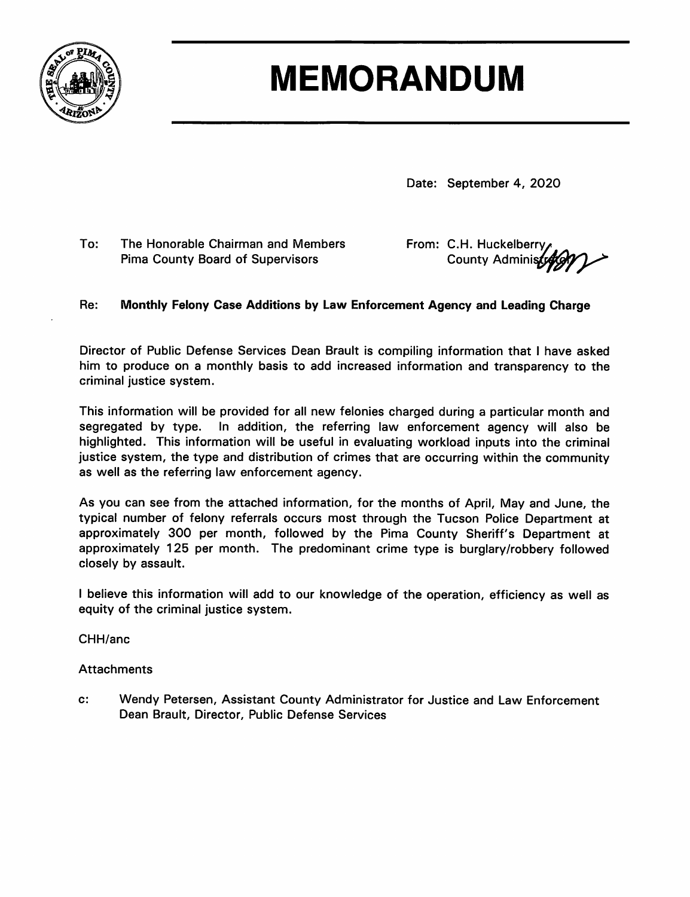

# **MEMORANDUM**

Date: September 4, 2020

To: The Honorable Chairman and Members **Pima County Board of Supervisors** 

From: C.H. Huckelberry County Administy

#### Re: Monthly Felony Case Additions by Law Enforcement Agency and Leading Charge

Director of Public Defense Services Dean Brault is compiling information that I have asked him to produce on a monthly basis to add increased information and transparency to the criminal justice system.

This information will be provided for all new felonies charged during a particular month and segregated by type. In addition, the referring law enforcement agency will also be highlighted. This information will be useful in evaluating workload inputs into the criminal justice system, the type and distribution of crimes that are occurring within the community as well as the referring law enforcement agency.

As you can see from the attached information, for the months of April, May and June, the typical number of felony referrals occurs most through the Tucson Police Department at approximately 300 per month, followed by the Pima County Sheriff's Department at approximately 125 per month. The predominant crime type is burglary/robbery followed closely by assault.

I believe this information will add to our knowledge of the operation, efficiency as well as equity of the criminal justice system.

CHH/anc

#### **Attachments**

 $\mathbf{c}$ : Wendy Petersen, Assistant County Administrator for Justice and Law Enforcement Dean Brault, Director, Public Defense Services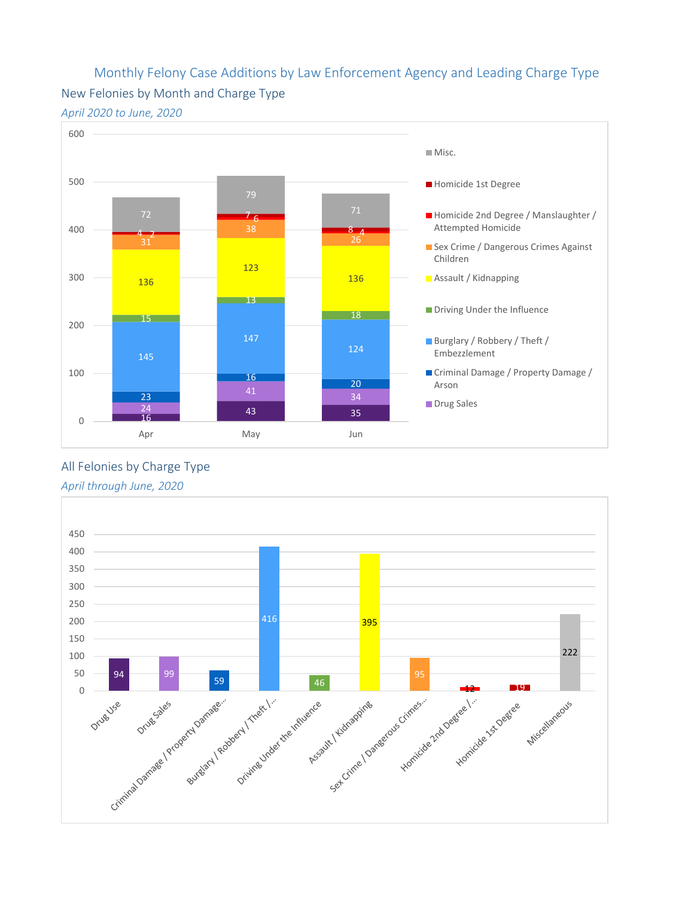## Monthly Felony Case Additions by Law Enforcement Agency and Leading Charge Type New Felonies by Month and Charge Type





All Felonies by Charge Type